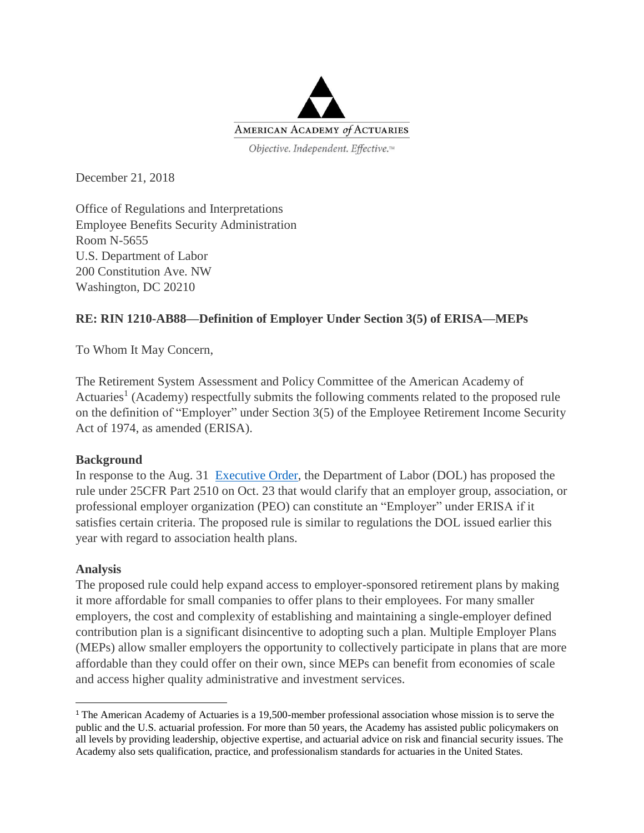

December 21, 2018

Office of Regulations and Interpretations Employee Benefits Security Administration Room N-5655 U.S. Department of Labor 200 Constitution Ave. NW Washington, DC 20210

## **RE: RIN 1210-AB88—Definition of Employer Under Section 3(5) of ERISA—MEPs**

To Whom It May Concern,

The Retirement System Assessment and Policy Committee of the American Academy of Actuaries<sup>1</sup> (Academy) respectfully submits the following comments related to the proposed rule on the definition of "Employer" under Section 3(5) of the Employee Retirement Income Security Act of 1974, as amended (ERISA).

## **Background**

In response to the Aug. 31 [Executive Order,](https://www.whitehouse.gov/presidential-actions/executive-order-strengthening-retirement-security-america/) the Department of Labor (DOL) has proposed the rule under 25CFR Part 2510 on Oct. 23 that would clarify that an employer group, association, or professional employer organization (PEO) can constitute an "Employer" under ERISA if it satisfies certain criteria. The proposed rule is similar to regulations the DOL issued earlier this year with regard to association health plans.

## **Analysis**

 $\overline{a}$ 

The proposed rule could help expand access to employer-sponsored retirement plans by making it more affordable for small companies to offer plans to their employees. For many smaller employers, the cost and complexity of establishing and maintaining a single-employer defined contribution plan is a significant disincentive to adopting such a plan. Multiple Employer Plans (MEPs) allow smaller employers the opportunity to collectively participate in plans that are more affordable than they could offer on their own, since MEPs can benefit from economies of scale and access higher quality administrative and investment services.

<sup>1</sup> The American Academy of Actuaries is a 19,500-member professional association whose mission is to serve the public and the U.S. actuarial profession. For more than 50 years, the Academy has assisted public policymakers on all levels by providing leadership, objective expertise, and actuarial advice on risk and financial security issues. The Academy also sets qualification, practice, and professionalism standards for actuaries in the United States.